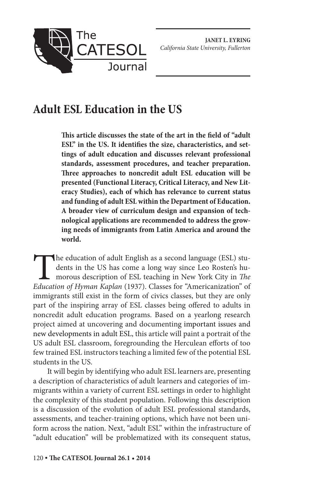

# **Adult ESL Education in the US**

**This article discusses the state of the art in the field of "adult ESL" in the US. It identifies the size, characteristics, and settings of adult education and discusses relevant professional standards, assessment procedures, and teacher preparation. Three approaches to noncredit adult ESL education will be presented (Functional Literacy, Critical Literacy, and New Literacy Studies), each of which has relevance to current status and funding of adult ESL within the Department of Education. A broader view of curriculum design and expansion of technological applications are recommended to address the growing needs of immigrants from Latin America and around the world.**

The education of adult English as a second language (ESL) students in the US has come a long way since Leo Rosten's humorous description of ESL teaching in New York City in *The Education of Hyman Kaplan* (1937). Classes for "Americanization" of immigrants still exist in the form of civics classes, but they are only part of the inspiring array of ESL classes being offered to adults in noncredit adult education programs. Based on a yearlong research project aimed at uncovering and documenting important issues and new developments in adult ESL, this article will paint a portrait of the US adult ESL classroom, foregrounding the Herculean efforts of too few trained ESL instructors teaching a limited few of the potential ESL students in the US.

It will begin by identifying who adult ESL learners are, presenting a description of characteristics of adult learners and categories of immigrants within a variety of current ESL settings in order to highlight the complexity of this student population. Following this description is a discussion of the evolution of adult ESL professional standards, assessments, and teacher-training options, which have not been uniform across the nation. Next, "adult ESL" within the infrastructure of "adult education" will be problematized with its consequent status,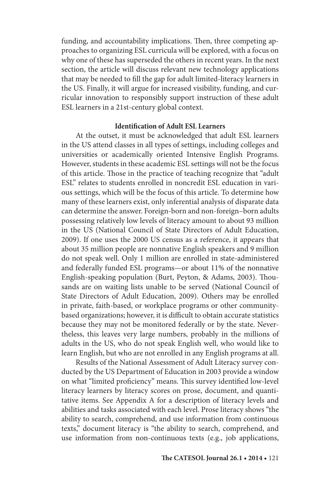funding, and accountability implications. Then, three competing approaches to organizing ESL curricula will be explored, with a focus on why one of these has superseded the others in recent years. In the next section, the article will discuss relevant new technology applications that may be needed to fill the gap for adult limited-literacy learners in the US. Finally, it will argue for increased visibility, funding, and curricular innovation to responsibly support instruction of these adult ESL learners in a 21st-century global context.

#### **Identification of Adult ESL Learners**

At the outset, it must be acknowledged that adult ESL learners in the US attend classes in all types of settings, including colleges and universities or academically oriented Intensive English Programs. However, students in these academic ESL settings will not be the focus of this article. Those in the practice of teaching recognize that "adult ESL" relates to students enrolled in noncredit ESL education in various settings, which will be the focus of this article. To determine how many of these learners exist, only inferential analysis of disparate data can determine the answer. Foreign-born and non-foreign–born adults possessing relatively low levels of literacy amount to about 93 million in the US (National Council of State Directors of Adult Education, 2009). If one uses the 2000 US census as a reference, it appears that about 35 million people are nonnative English speakers and 9 million do not speak well. Only 1 million are enrolled in state-administered and federally funded ESL programs—or about 11% of the nonnative English-speaking population (Burt, Peyton, & Adams, 2003). Thousands are on waiting lists unable to be served (National Council of State Directors of Adult Education, 2009). Others may be enrolled in private, faith-based, or workplace programs or other communitybased organizations; however, it is difficult to obtain accurate statistics because they may not be monitored federally or by the state. Nevertheless, this leaves very large numbers, probably in the millions of adults in the US, who do not speak English well, who would like to learn English, but who are not enrolled in any English programs at all.

Results of the National Assessment of Adult Literacy survey conducted by the US Department of Education in 2003 provide a window on what "limited proficiency" means. This survey identified low-level literacy learners by literacy scores on prose, document, and quantitative items. See Appendix A for a description of literacy levels and abilities and tasks associated with each level. Prose literacy shows "the ability to search, comprehend, and use information from continuous texts," document literacy is "the ability to search, comprehend, and use information from non-continuous texts (e.g., job applications,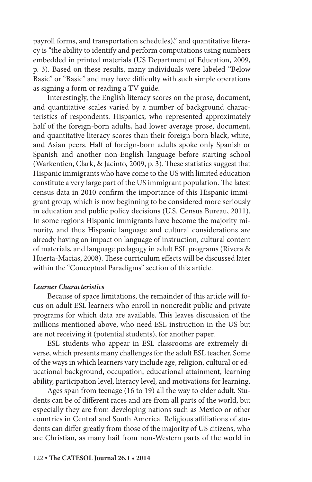payroll forms, and transportation schedules)," and quantitative literacy is "the ability to identify and perform computations using numbers embedded in printed materials (US Department of Education, 2009, p. 3). Based on these results, many individuals were labeled "Below Basic" or "Basic" and may have difficulty with such simple operations as signing a form or reading a TV guide.

Interestingly, the English literacy scores on the prose, document, and quantitative scales varied by a number of background characteristics of respondents. Hispanics, who represented approximately half of the foreign-born adults, had lower average prose, document, and quantitative literacy scores than their foreign-born black, white, and Asian peers. Half of foreign-born adults spoke only Spanish or Spanish and another non-English language before starting school (Warkentien, Clark, & Jacinto, 2009, p. 3). These statistics suggest that Hispanic immigrants who have come to the US with limited education constitute a very large part of the US immigrant population. The latest census data in 2010 confirm the importance of this Hispanic immigrant group, which is now beginning to be considered more seriously in education and public policy decisions (U.S. Census Bureau, 2011). In some regions Hispanic immigrants have become the majority minority, and thus Hispanic language and cultural considerations are already having an impact on language of instruction, cultural content of materials, and language pedagogy in adult ESL programs (Rivera & Huerta-Macias, 2008). These curriculum effects will be discussed later within the "Conceptual Paradigms" section of this article.

#### *Learner Characteristics*

Because of space limitations, the remainder of this article will focus on adult ESL learners who enroll in noncredit public and private programs for which data are available. This leaves discussion of the millions mentioned above, who need ESL instruction in the US but are not receiving it (potential students), for another paper.

ESL students who appear in ESL classrooms are extremely diverse, which presents many challenges for the adult ESL teacher. Some of the ways in which learners vary include age, religion, cultural or educational background, occupation, educational attainment, learning ability, participation level, literacy level, and motivations for learning.

Ages span from teenage (16 to 19) all the way to elder adult. Students can be of different races and are from all parts of the world, but especially they are from developing nations such as Mexico or other countries in Central and South America. Religious affiliations of students can differ greatly from those of the majority of US citizens, who are Christian, as many hail from non-Western parts of the world in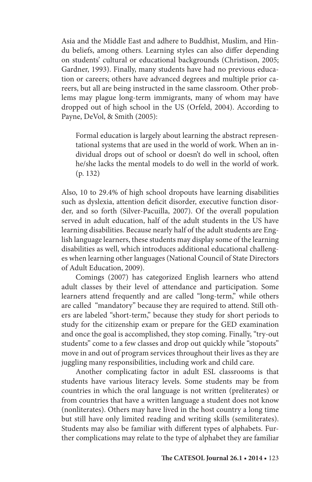Asia and the Middle East and adhere to Buddhist, Muslim, and Hindu beliefs, among others. Learning styles can also differ depending on students' cultural or educational backgrounds (Christison, 2005; Gardner, 1993). Finally, many students have had no previous education or careers; others have advanced degrees and multiple prior careers, but all are being instructed in the same classroom. Other problems may plague long-term immigrants, many of whom may have dropped out of high school in the US (Orfeld, 2004). According to Payne, DeVol, & Smith (2005):

Formal education is largely about learning the abstract representational systems that are used in the world of work. When an individual drops out of school or doesn't do well in school, often he/she lacks the mental models to do well in the world of work. (p. 132)

Also, 10 to 29.4% of high school dropouts have learning disabilities such as dyslexia, attention deficit disorder, executive function disorder, and so forth (Silver-Pacuilla, 2007). Of the overall population served in adult education, half of the adult students in the US have learning disabilities. Because nearly half of the adult students are English language learners, these students may display some of the learning disabilities as well, which introduces additional educational challenges when learning other languages (National Council of State Directors of Adult Education, 2009).

Comings (2007) has categorized English learners who attend adult classes by their level of attendance and participation. Some learners attend frequently and are called "long-term," while others are called "mandatory" because they are required to attend. Still others are labeled "short-term," because they study for short periods to study for the citizenship exam or prepare for the GED examination and once the goal is accomplished, they stop coming. Finally, "try-out students" come to a few classes and drop out quickly while "stopouts" move in and out of program services throughout their lives as they are juggling many responsibilities, including work and child care.

Another complicating factor in adult ESL classrooms is that students have various literacy levels. Some students may be from countries in which the oral language is not written (preliterates) or from countries that have a written language a student does not know (nonliterates). Others may have lived in the host country a long time but still have only limited reading and writing skills (semiliterates). Students may also be familiar with different types of alphabets. Further complications may relate to the type of alphabet they are familiar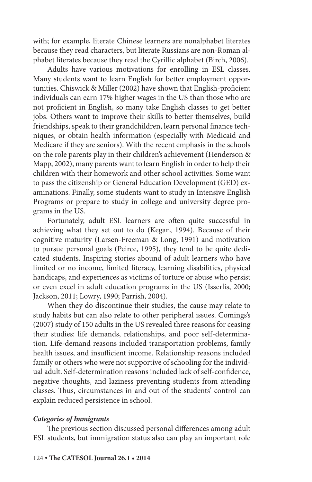with; for example, literate Chinese learners are nonalphabet literates because they read characters, but literate Russians are non-Roman alphabet literates because they read the Cyrillic alphabet (Birch, 2006).

Adults have various motivations for enrolling in ESL classes. Many students want to learn English for better employment opportunities. Chiswick & Miller (2002) have shown that English-proficient individuals can earn 17% higher wages in the US than those who are not proficient in English, so many take English classes to get better jobs. Others want to improve their skills to better themselves, build friendships, speak to their grandchildren, learn personal finance techniques, or obtain health information (especially with Medicaid and Medicare if they are seniors). With the recent emphasis in the schools on the role parents play in their children's achievement (Henderson & Mapp, 2002), many parents want to learn English in order to help their children with their homework and other school activities. Some want to pass the citizenship or General Education Development (GED) examinations. Finally, some students want to study in Intensive English Programs or prepare to study in college and university degree programs in the US.

Fortunately, adult ESL learners are often quite successful in achieving what they set out to do (Kegan, 1994). Because of their cognitive maturity (Larsen-Freeman & Long, 1991) and motivation to pursue personal goals (Peirce, 1995), they tend to be quite dedicated students. Inspiring stories abound of adult learners who have limited or no income, limited literacy, learning disabilities, physical handicaps, and experiences as victims of torture or abuse who persist or even excel in adult education programs in the US (Isserlis, 2000; Jackson, 2011; Lowry, 1990; Parrish, 2004).

When they do discontinue their studies, the cause may relate to study habits but can also relate to other peripheral issues. Comings's (2007) study of 150 adults in the US revealed three reasons for ceasing their studies: life demands, relationships, and poor self-determination. Life-demand reasons included transportation problems, family health issues, and insufficient income. Relationship reasons included family or others who were not supportive of schooling for the individual adult. Self-determination reasons included lack of self-confidence, negative thoughts, and laziness preventing students from attending classes. Thus, circumstances in and out of the students' control can explain reduced persistence in school.

#### *Categories of Immigrants*

The previous section discussed personal differences among adult ESL students, but immigration status also can play an important role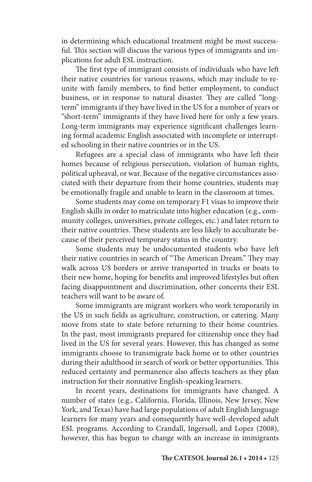in determining which educational treatment might be most successful. This section will discuss the various types of immigrants and implications for adult ESL instruction.

The first type of immigrant consists of individuals who have left their native countries for various reasons, which may include to reunite with family members, to find better employment, to conduct business, or in response to natural disaster. They are called "longterm" immigrants if they have lived in the US for a number of years or "short-term" immigrants if they have lived here for only a few years. Long-term immigrants may experience significant challenges learning formal academic English associated with incomplete or interrupted schooling in their native countries or in the US.

Refugees are a special class of immigrants who have left their homes because of religious persecution, violation of human rights, political upheaval, or war. Because of the negative circumstances associated with their departure from their home countries, students may be emotionally fragile and unable to learn in the classroom at times.

Some students may come on temporary F1 visas to improve their English skills in order to matriculate into higher education (e.g., community colleges, universities, private colleges, etc.) and later return to their native countries. These students are less likely to acculturate because of their perceived temporary status in the country.

Some students may be undocumented students who have left their native countries in search of "The American Dream." They may walk across US borders or arrive transported in trucks or boats to their new home, hoping for benefits and improved lifestyles but often facing disappointment and discrimination, other concerns their ESL teachers will want to be aware of.

Some immigrants are migrant workers who work temporarily in the US in such fields as agriculture, construction, or catering. Many move from state to state before returning to their home countries. In the past, most immigrants prepared for citizenship once they had lived in the US for several years. However, this has changed as some immigrants choose to transmigrate back home or to other countries during their adulthood in search of work or better opportunities. This reduced certainty and permanence also affects teachers as they plan instruction for their nonnative English-speaking learners.

In recent years, destinations for immigrants have changed. A number of states (e.g., California, Florida, Illinois, New Jersey, New York, and Texas) have had large populations of adult English language learners for many years and consequently have well-developed adult ESL programs. According to Crandall, Ingersoll, and Lopez (2008), however, this has begun to change with an increase in immigrants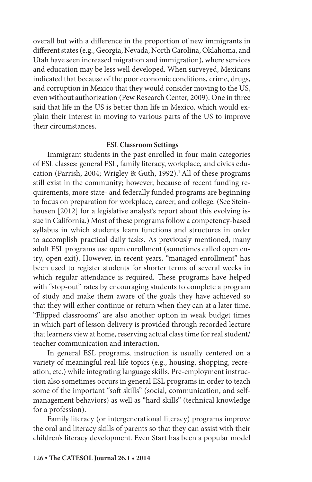overall but with a difference in the proportion of new immigrants in different states (e.g., Georgia, Nevada, North Carolina, Oklahoma, and Utah have seen increased migration and immigration), where services and education may be less well developed. When surveyed, Mexicans indicated that because of the poor economic conditions, crime, drugs, and corruption in Mexico that they would consider moving to the US, even without authorization (Pew Research Center, 2009). One in three said that life in the US is better than life in Mexico, which would explain their interest in moving to various parts of the US to improve their circumstances.

#### **ESL Classroom Settings**

Immigrant students in the past enrolled in four main categories of ESL classes: general ESL, family literacy, workplace, and civics education (Parrish, 2004; Wrigley & Guth, 1992).<sup>1</sup> All of these programs still exist in the community; however, because of recent funding requirements, more state- and federally funded programs are beginning to focus on preparation for workplace, career, and college. (See Steinhausen [2012] for a legislative analyst's report about this evolving issue in California.) Most of these programs follow a competency-based syllabus in which students learn functions and structures in order to accomplish practical daily tasks. As previously mentioned, many adult ESL programs use open enrollment (sometimes called open entry, open exit). However, in recent years, "managed enrollment" has been used to register students for shorter terms of several weeks in which regular attendance is required. These programs have helped with "stop-out" rates by encouraging students to complete a program of study and make them aware of the goals they have achieved so that they will either continue or return when they can at a later time. "Flipped classrooms" are also another option in weak budget times in which part of lesson delivery is provided through recorded lecture that learners view at home, reserving actual class time for real student/ teacher communication and interaction.

In general ESL programs, instruction is usually centered on a variety of meaningful real-life topics (e.g., housing, shopping, recreation, etc.) while integrating language skills. Pre-employment instruction also sometimes occurs in general ESL programs in order to teach some of the important "soft skills" (social, communication, and selfmanagement behaviors) as well as "hard skills" (technical knowledge for a profession).

Family literacy (or intergenerational literacy) programs improve the oral and literacy skills of parents so that they can assist with their children's literacy development. Even Start has been a popular model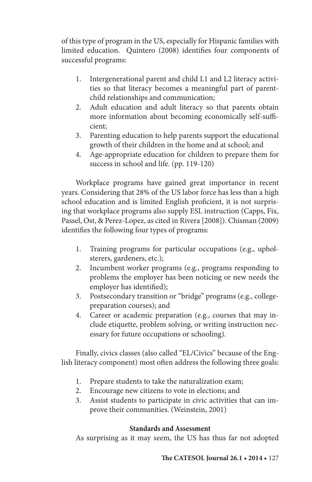of this type of program in the US, especially for Hispanic families with limited education. Quintero (2008) identifies four components of successful programs:

- 1. Intergenerational parent and child L1 and L2 literacy activities so that literacy becomes a meaningful part of parentchild relationships and communication;
- 2. Adult education and adult literacy so that parents obtain more information about becoming economically self-sufficient;
- 3. Parenting education to help parents support the educational growth of their children in the home and at school; and
- 4. Age-appropriate education for children to prepare them for success in school and life. (pp. 119-120)

Workplace programs have gained great importance in recent years. Considering that 28% of the US labor force has less than a high school education and is limited English proficient, it is not surprising that workplace programs also supply ESL instruction (Capps, Fix, Passel, Ost, & Perez-Lopez, as cited in Rivera [2008]). Chisman (2009) identifies the following four types of programs:

- 1. Training programs for particular occupations (e.g., upholsterers, gardeners, etc.);
- 2. Incumbent worker programs (e.g., programs responding to problems the employer has been noticing or new needs the employer has identified);
- 3. Postsecondary transition or "bridge" programs (e.g., collegepreparation courses); and
- 4. Career or academic preparation (e.g., courses that may include etiquette, problem solving, or writing instruction necessary for future occupations or schooling).

Finally, civics classes (also called "EL/Civics" because of the English literacy component) most often address the following three goals:

- 1. Prepare students to take the naturalization exam;
- 2. Encourage new citizens to vote in elections; and
- 3. Assist students to participate in civic activities that can improve their communities. (Weinstein, 2001)

# **Standards and Assessment**

As surprising as it may seem, the US has thus far not adopted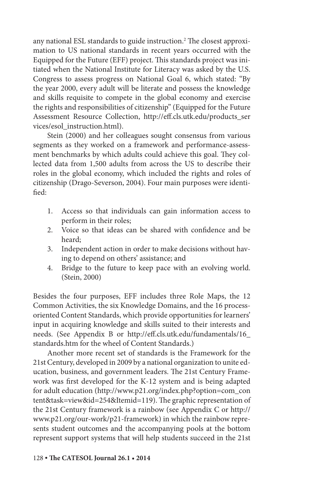any national ESL standards to guide instruction.2 The closest approximation to US national standards in recent years occurred with the Equipped for the Future (EFF) project. This standards project was initiated when the National Institute for Literacy was asked by the U.S. Congress to assess progress on National Goal 6, which stated: "By the year 2000, every adult will be literate and possess the knowledge and skills requisite to compete in the global economy and exercise the rights and responsibilities of citizenship" (Equipped for the Future Assessment Resource Collection, http://eff.cls.utk.edu/products\_ser vices/esol\_instruction.html).

Stein (2000) and her colleagues sought consensus from various segments as they worked on a framework and performance-assessment benchmarks by which adults could achieve this goal. They collected data from 1,500 adults from across the US to describe their roles in the global economy, which included the rights and roles of citizenship (Drago-Severson, 2004). Four main purposes were identified:

- 1. Access so that individuals can gain information access to perform in their roles;
- 2. Voice so that ideas can be shared with confidence and be heard;
- 3. Independent action in order to make decisions without having to depend on others' assistance; and
- 4. Bridge to the future to keep pace with an evolving world. (Stein, 2000)

Besides the four purposes, EFF includes three Role Maps, the 12 Common Activities, the six Knowledge Domains, and the 16 processoriented Content Standards, which provide opportunities for learners' input in acquiring knowledge and skills suited to their interests and needs. (See Appendix B or http://eff.cls.utk.edu/fundamentals/16\_ standards.htm for the wheel of Content Standards.)

Another more recent set of standards is the Framework for the 21st Century, developed in 2009 by a national organization to unite education, business, and government leaders. The 21st Century Framework was first developed for the K-12 system and is being adapted for adult education (http://www.p21.org/index.php?option=com\_con tent&task=view&id=254&Itemid=119). The graphic representation of the 21st Century framework is a rainbow (see Appendix C or http:// www.p21.org/our-work/p21-framework) in which the rainbow represents student outcomes and the accompanying pools at the bottom represent support systems that will help students succeed in the 21st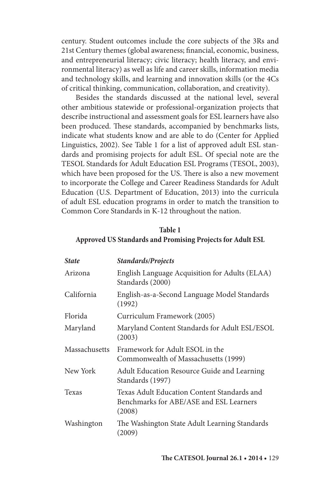century. Student outcomes include the core subjects of the 3Rs and 21st Century themes (global awareness; financial, economic, business, and entrepreneurial literacy; civic literacy; health literacy, and environmental literacy) as well as life and career skills, information media and technology skills, and learning and innovation skills (or the 4Cs of critical thinking, communication, collaboration, and creativity).

Besides the standards discussed at the national level, several other ambitious statewide or professional-organization projects that describe instructional and assessment goals for ESL learners have also been produced. These standards, accompanied by benchmarks lists, indicate what students know and are able to do (Center for Applied Linguistics, 2002). See Table 1 for a list of approved adult ESL standards and promising projects for adult ESL. Of special note are the TESOL Standards for Adult Education ESL Programs (TESOL, 2003), which have been proposed for the US. There is also a new movement to incorporate the College and Career Readiness Standards for Adult Education (U.S. Department of Education, 2013) into the curricula of adult ESL education programs in order to match the transition to Common Core Standards in K-12 throughout the nation.

# **Table 1**

### **Approved US Standards and Promising Projects for Adult ESL**

| <b>State</b>  | Standards/Projects                                                                               |
|---------------|--------------------------------------------------------------------------------------------------|
| Arizona       | English Language Acquisition for Adults (ELAA)<br>Standards (2000)                               |
| California    | English-as-a-Second Language Model Standards<br>(1992)                                           |
| Florida       | Curriculum Framework (2005)                                                                      |
| Maryland      | Maryland Content Standards for Adult ESL/ESOL<br>(2003)                                          |
| Massachusetts | Framework for Adult ESOL in the<br>Commonwealth of Massachusetts (1999)                          |
| New York      | Adult Education Resource Guide and Learning<br>Standards (1997)                                  |
| Texas         | Texas Adult Education Content Standards and<br>Benchmarks for ABE/ASE and ESL Learners<br>(2008) |
| Washington    | The Washington State Adult Learning Standards<br>(2009)                                          |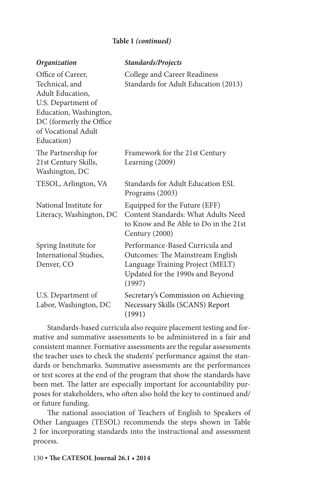## **Table 1** *(continued)*

| <b>Organization</b>                                                                                                                                                            | Standards/Projects                                                                                                                                    |  |  |
|--------------------------------------------------------------------------------------------------------------------------------------------------------------------------------|-------------------------------------------------------------------------------------------------------------------------------------------------------|--|--|
| Office of Career,<br>Technical, and<br><b>Adult Education,</b><br>U.S. Department of<br>Education, Washington,<br>DC (formerly the Office<br>of Vocational Adult<br>Education) | College and Career Readiness<br>Standards for Adult Education (2013)                                                                                  |  |  |
| The Partnership for<br>21st Century Skills,<br>Washington, DC                                                                                                                  | Framework for the 21st Century<br>Learning (2009)                                                                                                     |  |  |
| TESOL, Arlington, VA                                                                                                                                                           | Standards for Adult Education ESL<br>Programs (2003)                                                                                                  |  |  |
| National Institute for<br>Literacy, Washington, DC                                                                                                                             | Equipped for the Future (EFF)<br>Content Standards: What Adults Need<br>to Know and Be Able to Do in the 21st<br>Century (2000)                       |  |  |
| Spring Institute for<br><b>International Studies,</b><br>Denver, CO                                                                                                            | Performance-Based Curricula and<br>Outcomes: The Mainstream English<br>Language Training Project (MELT)<br>Updated for the 1990s and Beyond<br>(1997) |  |  |
| U.S. Department of<br>Labor, Washington, DC                                                                                                                                    | Secretary's Commission on Achieving<br>Necessary Skills (SCANS) Report<br>(1991)                                                                      |  |  |

Standards-based curricula also require placement testing and formative and summative assessments to be administered in a fair and consistent manner. Formative assessments are the regular assessments the teacher uses to check the students' performance against the standards or benchmarks. Summative assessments are the performances or test scores at the end of the program that show the standards have been met. The latter are especially important for accountability purposes for stakeholders, who often also hold the key to continued and/ or future funding.

The national association of Teachers of English to Speakers of Other Languages (TESOL) recommends the steps shown in Table 2 for incorporating standards into the instructional and assessment process.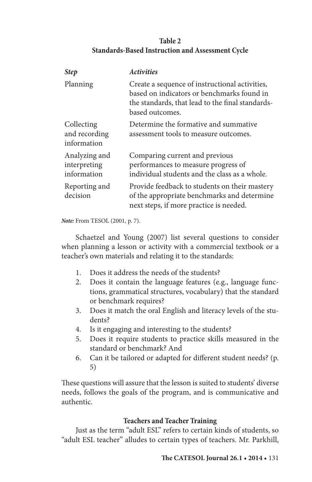## **Table 2 Standards-Based Instruction and Assessment Cycle**

| <b>Step</b>                                  | <b>Activities</b>                                                                                                                                                   |
|----------------------------------------------|---------------------------------------------------------------------------------------------------------------------------------------------------------------------|
| Planning                                     | Create a sequence of instructional activities,<br>based on indicators or benchmarks found in<br>the standards, that lead to the final standards-<br>based outcomes. |
| Collecting<br>and recording<br>information   | Determine the formative and summative<br>assessment tools to measure outcomes.                                                                                      |
| Analyzing and<br>interpreting<br>information | Comparing current and previous<br>performances to measure progress of<br>individual students and the class as a whole.                                              |
| Reporting and<br>decision                    | Provide feedback to students on their mastery<br>of the appropriate benchmarks and determine<br>next steps, if more practice is needed.                             |

*Note:* From TESOL (2001, p. 7).

Schaetzel and Young (2007) list several questions to consider when planning a lesson or activity with a commercial textbook or a teacher's own materials and relating it to the standards:

- 1. Does it address the needs of the students?
- 2. Does it contain the language features (e.g., language functions, grammatical structures, vocabulary) that the standard or benchmark requires?
- 3. Does it match the oral English and literacy levels of the students?
- 4. Is it engaging and interesting to the students?
- 5. Does it require students to practice skills measured in the standard or benchmark? And
- 6. Can it be tailored or adapted for different student needs? (p. 5)

These questions will assure that the lesson is suited to students' diverse needs, follows the goals of the program, and is communicative and authentic.

## **Teachers and Teacher Training**

Just as the term "adult ESL" refers to certain kinds of students, so "adult ESL teacher" alludes to certain types of teachers. Mr. Parkhill,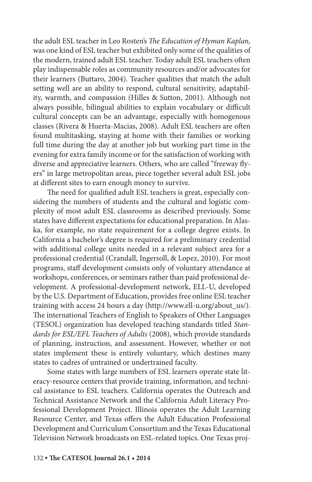the adult ESL teacher in Leo Rosten's *The Education of Hyman Kaplan,* was one kind of ESL teacher but exhibited only some of the qualities of the modern, trained adult ESL teacher. Today adult ESL teachers often play indispensable roles as community resources and/or advocates for their learners (Buttaro, 2004). Teacher qualities that match the adult setting well are an ability to respond, cultural sensitivity, adaptability, warmth, and compassion (Hilles & Sutton, 2001). Although not always possible, bilingual abilities to explain vocabulary or difficult cultural concepts can be an advantage, especially with homogenous classes (Rivera & Huerta-Macias, 2008). Adult ESL teachers are often found multitasking, staying at home with their families or working full time during the day at another job but working part time in the evening for extra family income or for the satisfaction of working with diverse and appreciative learners. Others, who are called "freeway flyers" in large metropolitan areas, piece together several adult ESL jobs at different sites to earn enough money to survive.

The need for qualified adult ESL teachers is great, especially considering the numbers of students and the cultural and logistic complexity of most adult ESL classrooms as described previously. Some states have different expectations for educational preparation. In Alaska, for example, no state requirement for a college degree exists. In California a bachelor's degree is required for a preliminary credential with additional college units needed in a relevant subject area for a professional credential (Crandall, Ingersoll, & Lopez, 2010). For most programs, staff development consists only of voluntary attendance at workshops, conferences, or seminars rather than paid professional development. A professional-development network, ELL-U, developed by the U.S. Department of Education, provides free online ESL teacher training with access 24 hours a day (http://www.ell-u.org/about\_us/). The international Teachers of English to Speakers of Other Languages (TESOL) organization has developed teaching standards titled *Standards for ESL/EFL Teachers of Adults* (2008), which provide standards of planning, instruction, and assessment. However, whether or not states implement these is entirely voluntary, which destines many states to cadres of untrained or undertrained faculty.

Some states with large numbers of ESL learners operate state literacy-resource centers that provide training, information, and technical assistance to ESL teachers. California operates the Outreach and Technical Assistance Network and the California Adult Literacy Professional Development Project. Illinois operates the Adult Learning Resource Center, and Texas offers the Adult Education Professional Development and Curriculum Consortium and the Texas Educational Television Network broadcasts on ESL-related topics. One Texas proj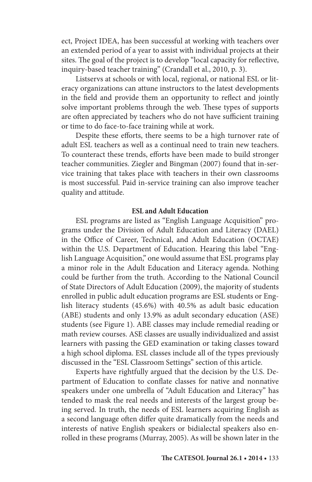ect, Project IDEA, has been successful at working with teachers over an extended period of a year to assist with individual projects at their sites. The goal of the project is to develop "local capacity for reflective, inquiry-based teacher training" (Crandall et al., 2010, p. 3).

Listservs at schools or with local, regional, or national ESL or literacy organizations can attune instructors to the latest developments in the field and provide them an opportunity to reflect and jointly solve important problems through the web. These types of supports are often appreciated by teachers who do not have sufficient training or time to do face-to-face training while at work.

Despite these efforts, there seems to be a high turnover rate of adult ESL teachers as well as a continual need to train new teachers. To counteract these trends, efforts have been made to build stronger teacher communities. Ziegler and Bingman (2007) found that in-service training that takes place with teachers in their own classrooms is most successful. Paid in-service training can also improve teacher quality and attitude.

### **ESL and Adult Education**

ESL programs are listed as "English Language Acquisition" programs under the Division of Adult Education and Literacy (DAEL) in the Office of Career, Technical, and Adult Education (OCTAE) within the U.S. Department of Education. Hearing this label "English Language Acquisition," one would assume that ESL programs play a minor role in the Adult Education and Literacy agenda. Nothing could be further from the truth. According to the National Council of State Directors of Adult Education (2009), the majority of students enrolled in public adult education programs are ESL students or English literacy students (45.6%) with 40.5% as adult basic education (ABE) students and only 13.9% as adult secondary education (ASE) students (see Figure 1). ABE classes may include remedial reading or math review courses. ASE classes are usually individualized and assist learners with passing the GED examination or taking classes toward a high school diploma. ESL classes include all of the types previously discussed in the "ESL Classroom Settings" section of this article.

Experts have rightfully argued that the decision by the U.S. Department of Education to conflate classes for native and nonnative speakers under one umbrella of "Adult Education and Literacy" has tended to mask the real needs and interests of the largest group being served. In truth, the needs of ESL learners acquiring English as a second language often differ quite dramatically from the needs and interests of native English speakers or bidialectal speakers also enrolled in these programs (Murray, 2005). As will be shown later in the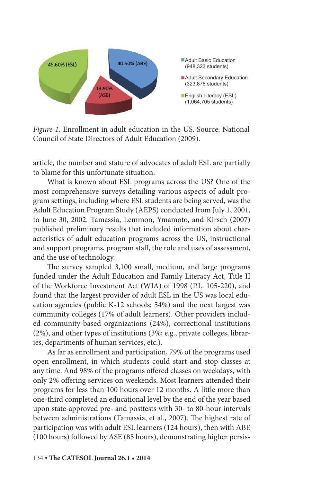

*Figure 1.* Enrollment in adult education in the US. Source: National Council of State Directors of Adult Education (2009).

article, the number and stature of advocates of adult ESL are partially to blame for this unfortunate situation.

What is known about ESL programs across the US? One of the most comprehensive surveys detailing various aspects of adult program settings, including where ESL students are being served, was the Adult Education Program Study (AEPS) conducted from July 1, 2001, to June 30, 2002. Tamassia, Lemmon, Ymamoto, and Kirsch (2007) published preliminary results that included information about characteristics of adult education programs across the US, instructional and support programs, program staff, the role and uses of assessment, and the use of technology.

The survey sampled 3,100 small, medium, and large programs funded under the Adult Education and Family Literacy Act, Title II of the Workforce Investment Act (WIA) of 1998 (P.L. 105-220), and found that the largest provider of adult ESL in the US was local education agencies (public K-12 schools; 54%) and the next largest was community colleges (17% of adult learners). Other providers included community-based organizations (24%), correctional institutions (2%), and other types of institutions (3%; e.g., private colleges, libraries, departments of human services, etc.).

As far as enrollment and participation, 79% of the programs used open enrollment, in which students could start and stop classes at any time. And 98% of the programs offered classes on weekdays, with only 2% offering services on weekends. Most learners attended their programs for less than 100 hours over 12 months. A little more than one-third completed an educational level by the end of the year based upon state-approved pre- and posttests with 30- to 80-hour intervals between administrations (Tamassia, et al., 2007). The highest rate of participation was with adult ESL learners (124 hours), then with ABE (100 hours) followed by ASE (85 hours), demonstrating higher persis-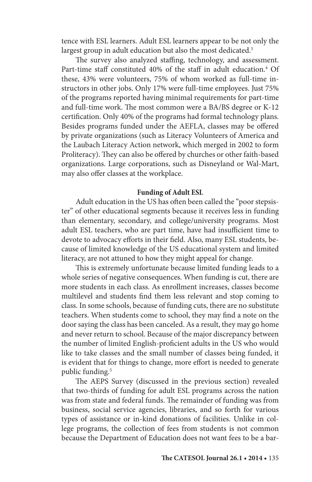tence with ESL learners. Adult ESL learners appear to be not only the largest group in adult education but also the most dedicated.<sup>3</sup>

The survey also analyzed staffing, technology, and assessment. Part-time staff constituted 40% of the staff in adult education.<sup>4</sup> Of these, 43% were volunteers, 75% of whom worked as full-time instructors in other jobs. Only 17% were full-time employees. Just 75% of the programs reported having minimal requirements for part-time and full-time work. The most common were a BA/BS degree or K-12 certification. Only 40% of the programs had formal technology plans. Besides programs funded under the AEFLA, classes may be offered by private organizations (such as Literacy Volunteers of America and the Laubach Literacy Action network, which merged in 2002 to form Proliteracy). They can also be offered by churches or other faith-based organizations. Large corporations, such as Disneyland or Wal-Mart, may also offer classes at the workplace.

#### **Funding of Adult ESL**

Adult education in the US has often been called the "poor stepsister" of other educational segments because it receives less in funding than elementary, secondary, and college/university programs. Most adult ESL teachers, who are part time, have had insufficient time to devote to advocacy efforts in their field. Also, many ESL students, because of limited knowledge of the US educational system and limited literacy, are not attuned to how they might appeal for change.

This is extremely unfortunate because limited funding leads to a whole series of negative consequences. When funding is cut, there are more students in each class. As enrollment increases, classes become multilevel and students find them less relevant and stop coming to class. In some schools, because of funding cuts, there are no substitute teachers. When students come to school, they may find a note on the door saying the class has been canceled. As a result, they may go home and never return to school. Because of the major discrepancy between the number of limited English-proficient adults in the US who would like to take classes and the small number of classes being funded, it is evident that for things to change, more effort is needed to generate public funding.5

The AEPS Survey (discussed in the previous section) revealed that two-thirds of funding for adult ESL programs across the nation was from state and federal funds. The remainder of funding was from business, social service agencies, libraries, and so forth for various types of assistance or in-kind donations of facilities. Unlike in college programs, the collection of fees from students is not common because the Department of Education does not want fees to be a bar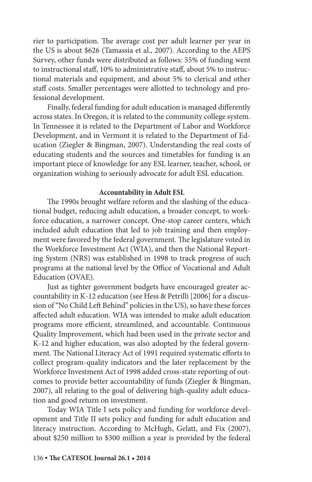rier to participation. The average cost per adult learner per year in the US is about \$626 (Tamassia et al., 2007). According to the AEPS Survey, other funds were distributed as follows: 55% of funding went to instructional staff, 10% to administrative staff, about 5% to instructional materials and equipment, and about 5% to clerical and other staff costs. Smaller percentages were allotted to technology and professional development.

Finally, federal funding for adult education is managed differently across states. In Oregon, it is related to the community college system. In Tennessee it is related to the Department of Labor and Workforce Development, and in Vermont it is related to the Department of Education (Ziegler & Bingman, 2007). Understanding the real costs of educating students and the sources and timetables for funding is an important piece of knowledge for any ESL learner, teacher, school, or organization wishing to seriously advocate for adult ESL education.

#### **Accountability in Adult ESL**

The 1990s brought welfare reform and the slashing of the educational budget, reducing adult education, a broader concept, to workforce education, a narrower concept. One-stop career centers, which included adult education that led to job training and then employment were favored by the federal government. The legislature voted in the Workforce Investment Act (WIA), and then the National Reporting System (NRS) was established in 1998 to track progress of such programs at the national level by the Office of Vocational and Adult Education (OVAE).

Just as tighter government budgets have encouraged greater accountability in K-12 education (see Hess & Petrilli [2006] for a discussion of "No Child Left Behind" policies in the US), so have these forces affected adult education. WIA was intended to make adult education programs more efficient, streamlined, and accountable. Continuous Quality Improvement, which had been used in the private sector and K-12 and higher education, was also adopted by the federal government. The National Literacy Act of 1991 required systematic efforts to collect program-quality indicators and the later replacement by the Workforce Investment Act of 1998 added cross-state reporting of outcomes to provide better accountability of funds (Ziegler & Bingman, 2007), all relating to the goal of delivering high-quality adult education and good return on investment.

Today WIA Title I sets policy and funding for workforce development and Title II sets policy and funding for adult education and literacy instruction. According to McHugh, Gelatt, and Fix (2007), about \$250 million to \$300 million a year is provided by the federal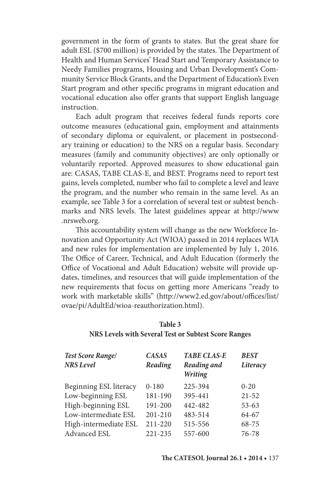government in the form of grants to states. But the great share for adult ESL (\$700 million) is provided by the states. The Department of Health and Human Services' Head Start and Temporary Assistance to Needy Families programs, Housing and Urban Development's Community Service Block Grants, and the Department of Education's Even Start program and other specific programs in migrant education and vocational education also offer grants that support English language instruction.

Each adult program that receives federal funds reports core outcome measures (educational gain, employment and attainments of secondary diploma or equivalent, or placement in postsecondary training or education) to the NRS on a regular basis. Secondary measures (family and community objectives) are only optionally or voluntarily reported. Approved measures to show educational gain are: CASAS, TABE CLAS-E, and BEST. Programs need to report test gains, levels completed, number who fail to complete a level and leave the program, and the number who remain in the same level. As an example, see Table 3 for a correlation of several test or subtest benchmarks and NRS levels. The latest guidelines appear at http://www .nrsweb.org.

This accountability system will change as the new Workforce Innovation and Opportunity Act (WIOA) passed in 2014 replaces WIA and new rules for implementation are implemented by July 1, 2016. The Office of Career, Technical, and Adult Education (formerly the Office of Vocational and Adult Education) website will provide updates, timelines, and resources that will guide implementation of the new requirements that focus on getting more Americans "ready to work with marketable skills" (http://www2.ed.gov/about/offices/list/ ovae/pi/AdultEd/wioa-reauthorization.html).

| <b>Test Score Range/</b><br><b>NRS</b> Level | <b>CASAS</b><br>Reading | <b>TABE CLAS-E</b><br>Reading and<br>Writing | <b>BEST</b><br>Literacy |
|----------------------------------------------|-------------------------|----------------------------------------------|-------------------------|
| Beginning ESL literacy                       | $0 - 180$               | 225-394                                      | $0 - 20$                |
| Low-beginning ESL                            | 181-190                 | 395-441                                      | $21 - 52$               |
| High-beginning ESL                           | 191-200                 | 442-482                                      | $53 - 63$               |
| Low-intermediate ESL                         | $201 - 210$             | 483-514                                      | 64-67                   |
| High-intermediate ESL                        | $211 - 220$             | 515-556                                      | 68-75                   |
| Advanced ESL                                 | 221-235                 | 557-600                                      | 76-78                   |

## **Table 3 NRS Levels with Several Test or Subtest Score Ranges**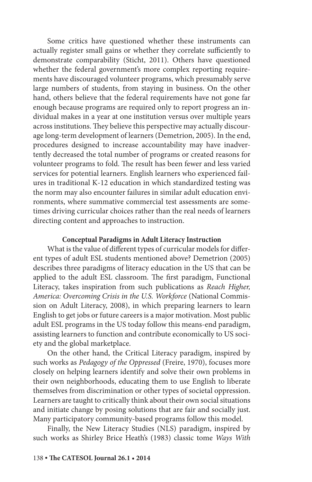Some critics have questioned whether these instruments can actually register small gains or whether they correlate sufficiently to demonstrate comparability (Sticht, 2011). Others have questioned whether the federal government's more complex reporting requirements have discouraged volunteer programs, which presumably serve large numbers of students, from staying in business. On the other hand, others believe that the federal requirements have not gone far enough because programs are required only to report progress an individual makes in a year at one institution versus over multiple years across institutions. They believe this perspective may actually discourage long-term development of learners (Demetrion, 2005). In the end, procedures designed to increase accountability may have inadvertently decreased the total number of programs or created reasons for volunteer programs to fold. The result has been fewer and less varied services for potential learners. English learners who experienced failures in traditional K-12 education in which standardized testing was the norm may also encounter failures in similar adult education environments, where summative commercial test assessments are sometimes driving curricular choices rather than the real needs of learners directing content and approaches to instruction.

#### **Conceptual Paradigms in Adult Literacy Instruction**

What is the value of different types of curricular models for different types of adult ESL students mentioned above? Demetrion (2005) describes three paradigms of literacy education in the US that can be applied to the adult ESL classroom. The first paradigm, Functional Literacy, takes inspiration from such publications as *Reach Higher, America: Overcoming Crisis in the U.S. Workforce* (National Commission on Adult Literacy, 2008), in which preparing learners to learn English to get jobs or future careers is a major motivation. Most public adult ESL programs in the US today follow this means-end paradigm, assisting learners to function and contribute economically to US society and the global marketplace.

On the other hand, the Critical Literacy paradigm, inspired by such works as *Pedagogy of the Oppressed* (Freire, 1970), focuses more closely on helping learners identify and solve their own problems in their own neighborhoods, educating them to use English to liberate themselves from discrimination or other types of societal oppression. Learners are taught to critically think about their own social situations and initiate change by posing solutions that are fair and socially just. Many participatory community-based programs follow this model.

Finally, the New Literacy Studies (NLS) paradigm, inspired by such works as Shirley Brice Heath's (1983) classic tome *Ways With*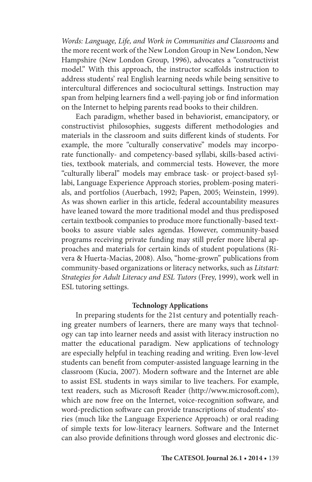*Words: Language, Life, and Work in Communities and Classrooms* and the more recent work of the New London Group in New London, New Hampshire (New London Group, 1996), advocates a "constructivist model." With this approach, the instructor scaffolds instruction to address students' real English learning needs while being sensitive to intercultural differences and sociocultural settings. Instruction may span from helping learners find a well-paying job or find information on the Internet to helping parents read books to their children.

Each paradigm, whether based in behaviorist, emancipatory, or constructivist philosophies, suggests different methodologies and materials in the classroom and suits different kinds of students. For example, the more "culturally conservative" models may incorporate functionally- and competency-based syllabi, skills-based activities, textbook materials, and commercial tests. However, the more "culturally liberal" models may embrace task- or project-based syllabi, Language Experience Approach stories, problem-posing materials, and portfolios (Auerbach, 1992; Papen, 2005; Weinstein, 1999). As was shown earlier in this article, federal accountability measures have leaned toward the more traditional model and thus predisposed certain textbook companies to produce more functionally-based textbooks to assure viable sales agendas. However, community-based programs receiving private funding may still prefer more liberal approaches and materials for certain kinds of student populations (Rivera & Huerta-Macias, 2008). Also, "home-grown" publications from community-based organizations or literacy networks, such as *Litstart: Strategies for Adult Literacy and ESL Tutors* (Frey, 1999), work well in ESL tutoring settings.

### **Technology Applications**

In preparing students for the 21st century and potentially reaching greater numbers of learners, there are many ways that technology can tap into learner needs and assist with literacy instruction no matter the educational paradigm. New applications of technology are especially helpful in teaching reading and writing. Even low-level students can benefit from computer-assisted language learning in the classroom (Kucia, 2007). Modern software and the Internet are able to assist ESL students in ways similar to live teachers. For example, text readers, such as Microsoft Reader (http://www.microsoft.com), which are now free on the Internet, voice-recognition software, and word-prediction software can provide transcriptions of students' stories (much like the Language Experience Approach) or oral reading of simple texts for low-literacy learners. Software and the Internet can also provide definitions through word glosses and electronic dic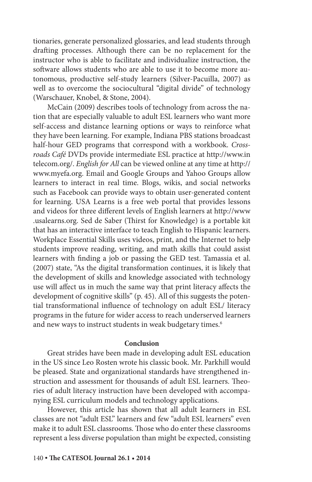tionaries, generate personalized glossaries, and lead students through drafting processes. Although there can be no replacement for the instructor who is able to facilitate and individualize instruction, the software allows students who are able to use it to become more autonomous, productive self-study learners (Silver-Pacuilla, 2007) as well as to overcome the sociocultural "digital divide" of technology (Warschauer, Knobel, & Stone, 2004).

McCain (2009) describes tools of technology from across the nation that are especially valuable to adult ESL learners who want more self-access and distance learning options or ways to reinforce what they have been learning. For example, Indiana PBS stations broadcast half-hour GED programs that correspond with a workbook. *Crossroads Café* DVDs provide intermediate ESL practice at http://www.in telecom.org/. *English for All* can be viewed online at any time at http:// www.myefa.org. Email and Google Groups and Yahoo Groups allow learners to interact in real time. Blogs, wikis, and social networks such as Facebook can provide ways to obtain user-generated content for learning. USA Learns is a free web portal that provides lessons and videos for three different levels of English learners at http://www .usalearns.org. Sed de Saber (Thirst for Knowledge) is a portable kit that has an interactive interface to teach English to Hispanic learners. Workplace Essential Skills uses videos, print, and the Internet to help students improve reading, writing, and math skills that could assist learners with finding a job or passing the GED test. Tamassia et al. (2007) state, "As the digital transformation continues, it is likely that the development of skills and knowledge associated with technology use will affect us in much the same way that print literacy affects the development of cognitive skills" (p. 45). All of this suggests the potential transformational influence of technology on adult ESL/ literacy programs in the future for wider access to reach underserved learners and new ways to instruct students in weak budgetary times.<sup>6</sup>

#### **Conclusion**

Great strides have been made in developing adult ESL education in the US since Leo Rosten wrote his classic book. Mr. Parkhill would be pleased. State and organizational standards have strengthened instruction and assessment for thousands of adult ESL learners. Theories of adult literacy instruction have been developed with accompanying ESL curriculum models and technology applications.

However, this article has shown that all adult learners in ESL classes are not "adult ESL" learners and few "adult ESL learners" even make it to adult ESL classrooms. Those who do enter these classrooms represent a less diverse population than might be expected, consisting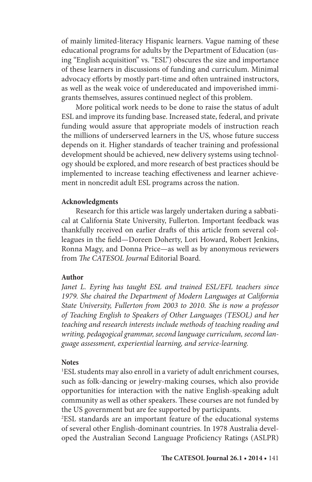of mainly limited-literacy Hispanic learners. Vague naming of these educational programs for adults by the Department of Education (using "English acquisition" vs. "ESL") obscures the size and importance of these learners in discussions of funding and curriculum. Minimal advocacy efforts by mostly part-time and often untrained instructors, as well as the weak voice of undereducated and impoverished immigrants themselves, assures continued neglect of this problem.

More political work needs to be done to raise the status of adult ESL and improve its funding base. Increased state, federal, and private funding would assure that appropriate models of instruction reach the millions of underserved learners in the US, whose future success depends on it. Higher standards of teacher training and professional development should be achieved, new delivery systems using technology should be explored, and more research of best practices should be implemented to increase teaching effectiveness and learner achievement in noncredit adult ESL programs across the nation.

#### **Acknowledgments**

Research for this article was largely undertaken during a sabbatical at California State University, Fullerton. Important feedback was thankfully received on earlier drafts of this article from several colleagues in the field—Doreen Doherty, Lori Howard, Robert Jenkins, Ronna Magy, and Donna Price—as well as by anonymous reviewers from *The CATESOL Journal* Editorial Board.

#### **Author**

Janet L. Eyring has taught ESL and trained ESL/EFL teachers since *1979. She chaired the Department of Modern Languages at California State University, Fullerton from 2003 to 2010. She is now a professor of Teaching English to Speakers of Other Languages (TESOL) and her teaching and research interests include methods of teaching reading and writing, pedagogical grammar, second language curriculum, second language assessment, experiential learning, and service-learning.*

### **Notes**

1 ESL students may also enroll in a variety of adult enrichment courses, such as folk-dancing or jewelry-making courses, which also provide opportunities for interaction with the native English-speaking adult community as well as other speakers. These courses are not funded by the US government but are fee supported by participants.

2 ESL standards are an important feature of the educational systems of several other English-dominant countries. In 1978 Australia developed the Australian Second Language Proficiency Ratings (ASLPR)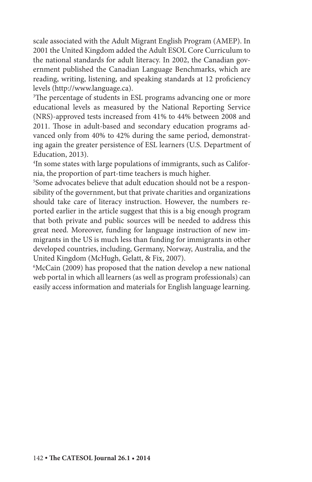scale associated with the Adult Migrant English Program (AMEP). In 2001 the United Kingdom added the Adult ESOL Core Curriculum to the national standards for adult literacy. In 2002, the Canadian government published the Canadian Language Benchmarks, which are reading, writing, listening, and speaking standards at 12 proficiency levels (http://www.language.ca).

3 The percentage of students in ESL programs advancing one or more educational levels as measured by the National Reporting Service (NRS)-approved tests increased from 41% to 44% between 2008 and 2011. Those in adult-based and secondary education programs advanced only from 40% to 42% during the same period, demonstrating again the greater persistence of ESL learners (U.S. Department of Education, 2013).

4 In some states with large populations of immigrants, such as California, the proportion of part-time teachers is much higher.

5 Some advocates believe that adult education should not be a responsibility of the government, but that private charities and organizations should take care of literacy instruction. However, the numbers reported earlier in the article suggest that this is a big enough program that both private and public sources will be needed to address this great need. Moreover, funding for language instruction of new immigrants in the US is much less than funding for immigrants in other developed countries, including, Germany, Norway, Australia, and the United Kingdom (McHugh, Gelatt, & Fix, 2007).

6 McCain (2009) has proposed that the nation develop a new national web portal in which all learners (as well as program professionals) can easily access information and materials for English language learning.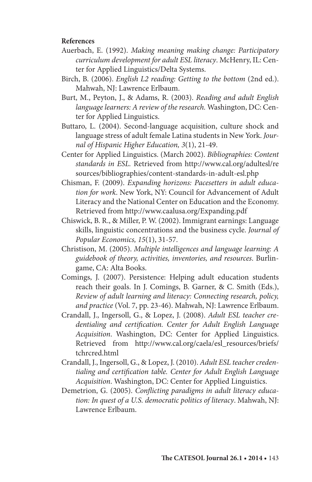### **References**

- Auerbach, E. (1992). *Making meaning making change: Participatory curriculum development for adult ESL literacy*. McHenry, IL: Center for Applied Linguistics/Delta Systems.
- Birch, B. (2006). *English L2 reading: Getting to the bottom* (2nd ed.). Mahwah, NJ: Lawrence Erlbaum.
- Burt, M., Peyton, J., & Adams, R. (2003). *Reading and adult English language learners: A review of the research.* Washington, DC: Center for Applied Linguistics.
- Buttaro, L. (2004). Second-language acquisition, culture shock and language stress of adult female Latina students in New York. *Journal of Hispanic Higher Education, 3*(1), 21-49.
- Center for Applied Linguistics. (March 2002). *Bibliographies: Content standards in ESL.* Retrieved from http://www.cal.org/adultesl/re sources/bibliographies/content-standards-in-adult-esl.php
- Chisman, F. (2009). *Expanding horizons: Pacesetters in adult education for work*. New York, NY: Council for Advancement of Adult Literacy and the National Center on Education and the Economy. Retrieved from http://www.caalusa.org/Expanding.pdf
- Chiswick, B. R., & Miller, P. W. (2002). Immigrant earnings: Language skills, linguistic concentrations and the business cycle. *Journal of Popular Economics, 15*(1), 31-57.
- Christison, M. (2005). *Multiple intelligences and language learning: A guidebook of theory, activities, inventories, and resources*. Burlingame, CA: Alta Books.
- Comings, J. (2007). Persistence: Helping adult education students reach their goals. In J. Comings, B. Garner, & C. Smith (Eds.), *Review of adult learning and literacy: Connecting research, policy, and practice* (Vol. 7, pp. 23-46). Mahwah, NJ: Lawrence Erlbaum.
- Crandall, J., Ingersoll, G., & Lopez, J. (2008). *Adult ESL teacher credentialing and certification. Center for Adult English Language Acquisition*. Washington, DC: Center for Applied Linguistics. Retrieved from http://www.cal.org/caela/esl\_resources/briefs/ tchrcred.html
- Crandall, J., Ingersoll, G., & Lopez, J. (2010). *Adult ESL teacher credentialing and certification table. Center for Adult English Language Acquisition*. Washington, DC: Center for Applied Linguistics.
- Demetrion, G. (2005). *Conflicting paradigms in adult literacy education: In quest of a U.S. democratic politics of literacy*. Mahwah, NJ: Lawrence Erlbaum.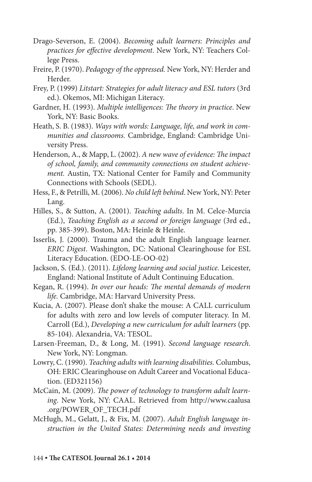- Drago-Severson, E. (2004). *Becoming adult learners: Principles and practices for effective development*. New York, NY: Teachers College Press.
- Freire, P. (1970). *Pedagogy of the oppressed.* New York, NY: Herder and Herder.
- Frey, P. (1999) *Litstart: Strategies for adult literacy and ESL tutors* (3rd ed.). Okemos, MI: Michigan Literacy.
- Gardner, H. (1993). *Multiple intelligences: The theory in practice*. New York, NY: Basic Books.
- Heath, S. B. (1983). *Ways with words: Language, life, and work in communities and classrooms.* Cambridge, England: Cambridge University Press.
- Henderson, A., & Mapp, L. (2002). *A new wave of evidence: The impact of school, family, and community connections on student achievement.* Austin, TX: National Center for Family and Community Connections with Schools (SEDL).
- Hess, F., & Petrilli, M. (2006). *No child left behind*. New York, NY: Peter Lang.
- Hilles, S., & Sutton, A. (2001). *Teaching adults*. In M. Celce-Murcia (Ed.), *Teaching English as a second or foreign language* (3rd ed., pp. 385-399). Boston, MA: Heinle & Heinle.
- Isserlis, J. (2000). Trauma and the adult English language learner. *ERIC Digest*. Washington, DC: National Clearinghouse for ESL Literacy Education. (EDO-LE-OO-02)
- Jackson, S. (Ed.). (2011). *Lifelong learning and social justice*. Leicester, England: National Institute of Adult Continuing Education.
- Kegan, R. (1994). *In over our heads: The mental demands of modern life.* Cambridge, MA: Harvard University Press.
- Kucia, A. (2007). Please don't shake the mouse: A CALL curriculum for adults with zero and low levels of computer literacy. In M. Carroll (Ed.), *Developing a new curriculum for adult learners* (pp. 85-104). Alexandria, VA: TESOL.
- Larsen-Freeman, D., & Long, M. (1991). *Second language research*. New York, NY: Longman.
- Lowry, C. (1990). *Teaching adults with learning disabilities.* Columbus, OH: ERIC Clearinghouse on Adult Career and Vocational Education. (ED321156)
- McCain, M. (2009). *The power of technology to transform adult learning*. New York, NY: CAAL. Retrieved from http://www.caalusa .org/POWER\_OF\_TECH.pdf
- McHugh, M., Gelatt, J., & Fix, M. (2007). *Adult English language instruction in the United States: Determining needs and investing*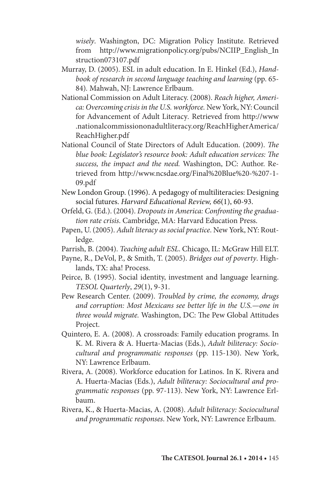*wisely*. Washington, DC: Migration Policy Institute. Retrieved from http://www.migrationpolicy.org/pubs/NCIIP\_English\_In struction073107.pdf

- Murray, D. (2005). ESL in adult education. In E. Hinkel (Ed.), *Handbook of research in second language teaching and learning* (pp. 65- 84)*.* Mahwah, NJ: Lawrence Erlbaum.
- National Commission on Adult Literacy. (2008). *Reach higher, America: Overcoming crisis in the U.S. workforce.* New York, NY: Council for Advancement of Adult Literacy*.* Retrieved from http://www .nationalcommissiononadultliteracy.org/ReachHigherAmerica/ ReachHigher.pdf
- National Council of State Directors of Adult Education. (2009). *The blue book: Legislator's resource book: Adult education services: The success, the impact and the need.* Washington, DC: Author. Retrieved from http://www.ncsdae.org/Final%20Blue%20-%207-1- 09.pdf
- New London Group. (1996). A pedagogy of multiliteracies: Designing social futures. *Harvard Educational Review, 66*(1), 60-93.
- Orfeld, G. (Ed.). (2004). *Dropouts in America: Confronting the graduation rate crisis*. Cambridge, MA: Harvard Education Press.
- Papen, U. (2005). *Adult literacy as social practice*. New York, NY: Routledge.
- Parrish, B. (2004). *Teaching adult ESL*. Chicago, IL: McGraw Hill ELT.
- Payne, R., DeVol, P., & Smith, T. (2005). *Bridges out of poverty*. Highlands, TX: aha! Process.
- Peirce, B. (1995). Social identity, investment and language learning. *TESOL Quarterly*, *29*(1), 9-31.
- Pew Research Center. (2009). *Troubled by crime, the economy, drugs and corruption: Most Mexicans see better life in the U.S.—one in three would migrate.* Washington, DC: The Pew Global Attitudes Project.
- Quintero, E. A. (2008). A crossroads: Family education programs. In K. M. Rivera & A. Huerta-Macias (Eds.), *Adult biliteracy: Sociocultural and programmatic responses* (pp. 115-130). New York, NY: Lawrence Erlbaum.
- Rivera, A. (2008). Workforce education for Latinos. In K. Rivera and A. Huerta-Macias (Eds.), *Adult biliteracy: Sociocultural and programmatic responses* (pp. 97-113). New York, NY: Lawrence Erlbaum.
- Rivera, K., & Huerta-Macias, A. (2008). *Adult biliteracy: Sociocultural and programmatic responses*. New York, NY: Lawrence Erlbaum.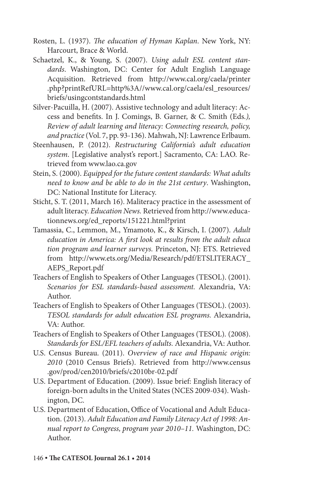- Rosten, L. (1937). *The education of Hyman Kaplan*. New York, NY: Harcourt, Brace & World.
- Schaetzel, K., & Young, S. (2007). *Using adult ESL content standards*. Washington, DC: Center for Adult English Language Acquisition. Retrieved from http://www.cal.org/caela/printer .php?printRefURL=http%3A//www.cal.org/caela/esl\_resources/ briefs/usingcontstandards.html
- Silver-Pacuilla, H. (2007). Assistive technology and adult literacy: Access and benefits. In J. Comings, B. Garner, & C. Smith (Eds*.), Review of adult learning and literacy: Connecting research, policy, and practice* (Vol. 7, pp. 93-136). Mahwah, NJ: Lawrence Erlbaum.
- Steenhausen, P. (2012). *Restructuring California's adult education system*. [Legislative analyst's report.] Sacramento, CA: LAO. Retrieved from www.lao.ca.gov
- Stein, S. (2000). *Equipped for the future content standards: What adults need to know and be able to do in the 21st century*. Washington, DC: National Institute for Literacy.
- Sticht, S. T. (2011, March 16). Maliteracy practice in the assessment of adult literacy. *Education News.* Retrieved from http://www.educationnews.org/ed\_reports/151221.html?print
- Tamassia, C., Lemmon, M., Ymamoto, K., & Kirsch, I. (2007). *Adult education in America: A first look at results from the adult educa tion program and learner surveys.* Princeton, NJ: ETS. Retrieved from http://www.ets.org/Media/Research/pdf/ETSLITERACY\_ AEPS\_Report.pdf
- Teachers of English to Speakers of Other Languages (TESOL). (2001). *Scenarios for ESL standards-based assessment.* Alexandria, VA: Author.
- Teachers of English to Speakers of Other Languages (TESOL). (2003). *TESOL standards for adult education ESL programs.* Alexandria, VA: Author.
- Teachers of English to Speakers of Other Languages (TESOL)*.* (2008). *Standards for ESL/EFL teachers of adults.* Alexandria, VA: Author.
- U.S. Census Bureau. (2011). *Overview of race and Hispanic origin: 2010* (2010 Census Briefs). Retrieved from http://www.census .gov/prod/cen2010/briefs/c2010br-02.pdf
- U.S. Department of Education. (2009). Issue brief: English literacy of foreign-born adults in the United States (NCES 2009-034). Washington, DC.
- U.S. Department of Education, Office of Vocational and Adult Education. (2013). *Adult Education and Family Literacy Act of 1998: Annual report to Congress, program year 2010–11.* Washington, DC: Author.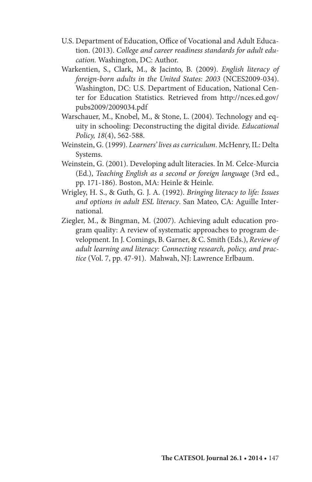- U.S. Department of Education, Office of Vocational and Adult Education. (2013). *College and career readiness standards for adult education.* Washington, DC: Author.
- Warkentien, S., Clark, M., & Jacinto, B. (2009). *English literacy of foreign-born adults in the United States: 2003* (NCES2009-034). Washington, DC: U.S. Department of Education, National Center for Education Statistics. Retrieved from http://nces.ed.gov/ pubs2009/2009034.pdf
- Warschauer, M., Knobel, M., & Stone, L. (2004). Technology and equity in schooling: Deconstructing the digital divide. *Educational Policy, 18*(4), 562-588.
- Weinstein, G. (1999). *Learners' lives as curriculum*. McHenry, IL: Delta Systems.
- Weinstein, G. (2001). Developing adult literacies. In M. Celce-Murcia (Ed.), *Teaching English as a second or foreign language* (3rd ed., pp. 171-186). Boston, MA: Heinle & Heinle.
- Wrigley, H. S., & Guth, G. J. A. (1992). *Bringing literacy to life: Issues and options in adult ESL literacy*. San Mateo, CA: Aguille International.
- Ziegler, M., & Bingman, M. (2007). Achieving adult education program quality: A review of systematic approaches to program development. In J. Comings, B. Garner, & C. Smith (Eds.), *Review of adult learning and literacy: Connecting research, policy, and practice* (Vol. 7, pp. 47-91). Mahwah, NJ: Lawrence Erlbaum.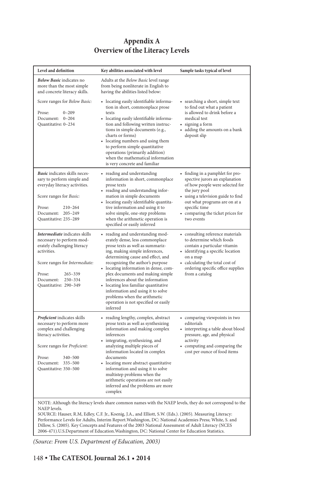# **Appendix A Overview of the Literacy Levels**

| Level and definition                                                                                                                                                                                                                                                                                                                                                                                                                                                                                                                                        | Key abilities associated with level                                                                                                                                                                                                                                                                                                                                                                                                                                                                   | Sample tasks typical of level                                                                                                                                                                                                                                     |  |  |
|-------------------------------------------------------------------------------------------------------------------------------------------------------------------------------------------------------------------------------------------------------------------------------------------------------------------------------------------------------------------------------------------------------------------------------------------------------------------------------------------------------------------------------------------------------------|-------------------------------------------------------------------------------------------------------------------------------------------------------------------------------------------------------------------------------------------------------------------------------------------------------------------------------------------------------------------------------------------------------------------------------------------------------------------------------------------------------|-------------------------------------------------------------------------------------------------------------------------------------------------------------------------------------------------------------------------------------------------------------------|--|--|
| Below Basic indicates no<br>more than the most simple<br>and concrete literacy skills.                                                                                                                                                                                                                                                                                                                                                                                                                                                                      | Adults at the <i>Below Basic</i> level range<br>from being nonliterate in English to<br>having the abilities listed below:                                                                                                                                                                                                                                                                                                                                                                            |                                                                                                                                                                                                                                                                   |  |  |
| Score ranges for Below Basic:<br>Prose:<br>$0 - 209$<br>Document: 0-204<br>Quantitative: 0-234                                                                                                                                                                                                                                                                                                                                                                                                                                                              | • locating easily identifiable informa-<br>tion in short, commonplace prose<br>texts<br>• locating easily identifiable informa-<br>tion and following written instruc-<br>tions in simple documents (e.g.,<br>charts or forms)<br>• locating numbers and using them<br>to perform simple quantitative<br>operations (primarily addition)<br>when the mathematical information<br>is very concrete and familiar                                                                                        | • searching a short, simple text<br>to find out what a patient<br>is allowed to drink before a<br>medical test<br>• signing a form<br>adding the amounts on a bank<br>٠<br>deposit slip                                                                           |  |  |
| Basic indicates skills neces-<br>sary to perform simple and<br>everyday literacy activities.<br>Score ranges for Basic:<br>Prose:<br>$210 - 264$<br>Document: 205-249<br>Quantitative: 235-289                                                                                                                                                                                                                                                                                                                                                              | • reading and understanding<br>information in short, commonplace<br>prose texts<br>• reading and understanding infor-<br>mation in simple documents<br>• locating easily identifiable quantita-<br>tive information and using it to<br>solve simple, one-step problems<br>when the arithmetic operation is<br>specified or easily inferred                                                                                                                                                            | • finding in a pamphlet for pro-<br>spective jurors an explanation<br>of how people were selected for<br>the jury pool<br>• using a television guide to find<br>out what programs are on at a<br>specific time<br>• comparing the ticket prices for<br>two events |  |  |
| Intermediate indicates skills<br>necessary to perform mod-<br>erately challenging literacy<br>activities.<br>Score ranges for Intermediate:<br>Prose:<br>$265 - 339$<br>Document:<br>250-334<br>Quantitative: 290-349                                                                                                                                                                                                                                                                                                                                       | • reading and understanding mod-<br>erately dense, less commonplace<br>prose texts as well as summariz-<br>ing, making simple inferences,<br>determining cause and effect, and<br>recognizing the author's purpose<br>• locating information in dense, com-<br>plex documents and making simple<br>inferences about the information<br>• locating less familiar quantitative<br>information and using it to solve<br>problems when the arithmetic<br>operation is not specified or easily<br>inferred | • consulting reference materials<br>to determine which foods<br>contain a particular vitamin<br>• identifying a specific location<br>on a map<br>• calculating the total cost of<br>ordering specific office supplies<br>from a catalog                           |  |  |
| Proficient indicates skills<br>necessary to perform more<br>complex and challenging<br>literacy activities.<br>Score ranges for Proficient:<br>Prose:<br>340-500<br>Document: 335-500<br>Quantitative: 350-500                                                                                                                                                                                                                                                                                                                                              | • reading lengthy, complex, abstract<br>prose texts as well as synthesizing<br>information and making complex<br>inferences<br>• integrating, synthesizing, and<br>analyzing multiple pieces of<br>information located in complex<br>documents<br>• locating more abstract quantitative<br>information and using it to solve<br>multistep problems when the<br>arithmetic operations are not easily<br>inferred and the problems are more<br>complex                                                  | • comparing viewpoints in two<br>editorials<br>• interpreting a table about blood<br>pressure, age, and physical<br>activity<br>• computing and comparing the<br>cost per ounce of food items                                                                     |  |  |
| NOTE: Although the literacy levels share common names with the NAEP levels, they do not correspond to the<br>NAEP levels.<br>SOURCE: Hauser, R.M, Edley, C.F. Jr., Koenig, J.A., and Elliott, S.W. (Eds.). (2005). Measuring Literacy:<br>Performance Levels for Adults, Interim Report. Washington, DC: National Academies Press; White, S. and<br>Dillow, S. (2005). Key Concepts and Features of the 2003 National Assessment of Adult Literacy (NCES<br>2006-471).U.S.Department of Education.Washington, DC: National Center for Education Statistics. |                                                                                                                                                                                                                                                                                                                                                                                                                                                                                                       |                                                                                                                                                                                                                                                                   |  |  |

*(Source: From U.S. Department of Education, 2003)*